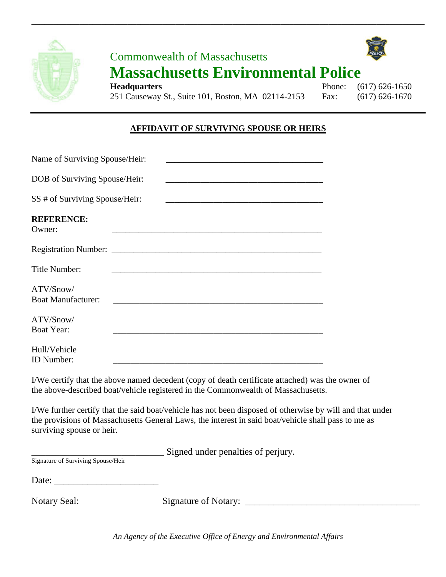

# Commonwealth of Massachusetts **Massachusetts Environmental Police**

\_\_\_\_\_\_\_\_\_\_\_\_\_\_\_\_\_\_\_\_\_\_\_\_\_\_\_\_\_\_\_\_\_\_\_\_\_\_\_\_\_\_\_\_\_\_\_\_\_\_\_\_\_\_\_\_\_\_\_\_\_\_\_\_\_\_\_\_\_\_\_\_\_\_\_\_\_\_\_\_\_\_\_\_\_\_\_\_\_\_



## **AFFIDAVIT OF SURVIVING SPOUSE OR HEIRS**

| Name of Surviving Spouse/Heir:         |  |
|----------------------------------------|--|
| DOB of Surviving Spouse/Heir:          |  |
| SS # of Surviving Spouse/Heir:         |  |
| <b>REFERENCE:</b><br>Owner:            |  |
|                                        |  |
| Title Number:                          |  |
| ATV/Snow/<br><b>Boat Manufacturer:</b> |  |
| ATV/Snow/<br><b>Boat Year:</b>         |  |
| Hull/Vehicle<br>ID Number:             |  |

I/We certify that the above named decedent (copy of death certificate attached) was the owner of the above-described boat/vehicle registered in the Commonwealth of Massachusetts.

I/We further certify that the said boat/vehicle has not been disposed of otherwise by will and that under the provisions of Massachusetts General Laws, the interest in said boat/vehicle shall pass to me as surviving spouse or heir.

\_\_\_\_\_\_\_\_\_\_\_\_\_\_\_\_\_\_\_\_\_\_\_\_\_\_\_\_ Signed under penalties of perjury.

Signature of Surviving Spouse/Heir

Date:

Notary Seal: Signature of Notary: \_\_\_\_\_\_\_\_\_\_\_\_\_\_\_\_\_\_\_\_\_\_\_\_\_\_\_\_\_\_\_\_\_\_\_\_\_

*An Agency of the Executive Office of Energy and Environmental Affairs*